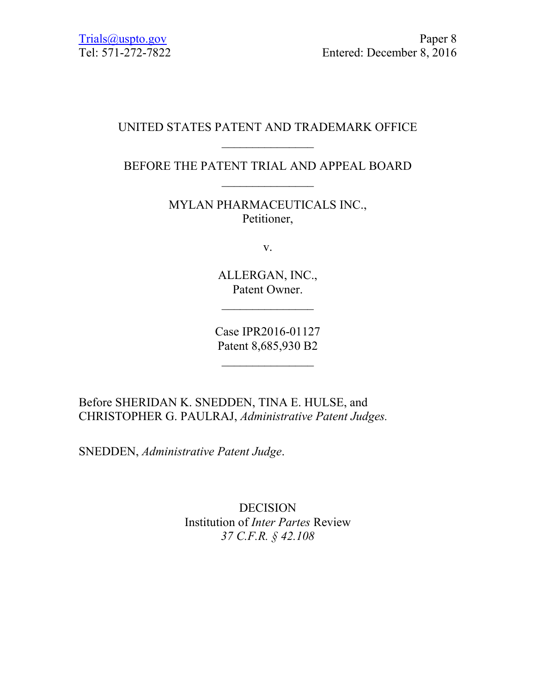# UNITED STATES PATENT AND TRADEMARK OFFICE  $\mathcal{L}_\text{max}$

BEFORE THE PATENT TRIAL AND APPEAL BOARD  $\mathcal{L}_\text{max}$ 

> MYLAN PHARMACEUTICALS INC., Petitioner,

> > v.

ALLERGAN, INC., Patent Owner.

 $\frac{1}{2}$ 

Case IPR2016-01127 Patent 8,685,930 B2

 $\frac{1}{2}$ 

Before SHERIDAN K. SNEDDEN, TINA E. HULSE, and CHRISTOPHER G. PAULRAJ, *Administrative Patent Judges.* 

SNEDDEN, *Administrative Patent Judge*.

DECISION Institution of *Inter Partes* Review *37 C.F.R. § 42.108*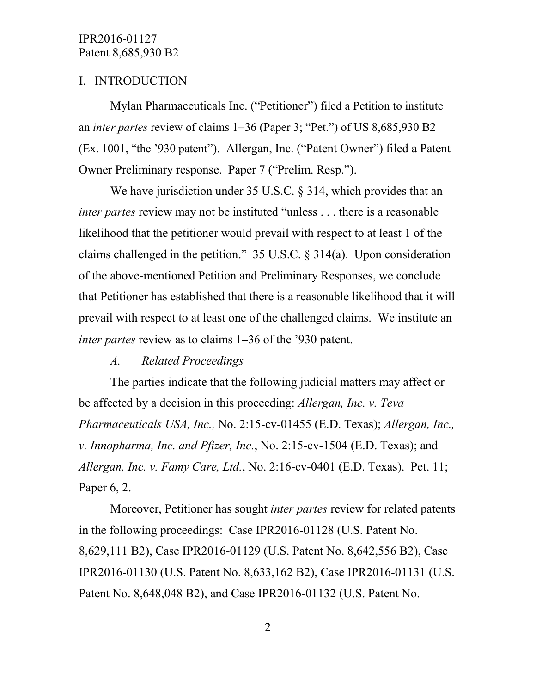# I. INTRODUCTION

Mylan Pharmaceuticals Inc. ("Petitioner") filed a Petition to institute an *inter partes* review of claims 1−36 (Paper 3; "Pet.") of US 8,685,930 B2 (Ex. 1001, "the '930 patent"). Allergan, Inc. ("Patent Owner") filed a Patent Owner Preliminary response. Paper 7 ("Prelim. Resp.").

We have jurisdiction under 35 U.S.C. § 314, which provides that an *inter partes* review may not be instituted "unless . . . there is a reasonable likelihood that the petitioner would prevail with respect to at least 1 of the claims challenged in the petition." 35 U.S.C. § 314(a). Upon consideration of the above-mentioned Petition and Preliminary Responses, we conclude that Petitioner has established that there is a reasonable likelihood that it will prevail with respect to at least one of the challenged claims. We institute an *inter partes* review as to claims 1−36 of the '930 patent.

#### *A. Related Proceedings*

The parties indicate that the following judicial matters may affect or be affected by a decision in this proceeding: *Allergan, Inc. v. Teva Pharmaceuticals USA, Inc.,* No. 2:15-cv-01455 (E.D. Texas); *Allergan, Inc., v. Innopharma, Inc. and Pfizer, Inc.*, No. 2:15-cv-1504 (E.D. Texas); and *Allergan, Inc. v. Famy Care, Ltd.*, No. 2:16-cv-0401 (E.D. Texas). Pet. 11; Paper 6, 2.

Moreover, Petitioner has sought *inter partes* review for related patents in the following proceedings: Case IPR2016-01128 (U.S. Patent No. 8,629,111 B2), Case IPR2016-01129 (U.S. Patent No. 8,642,556 B2), Case IPR2016-01130 (U.S. Patent No. 8,633,162 B2), Case IPR2016-01131 (U.S. Patent No. 8,648,048 B2), and Case IPR2016-01132 (U.S. Patent No.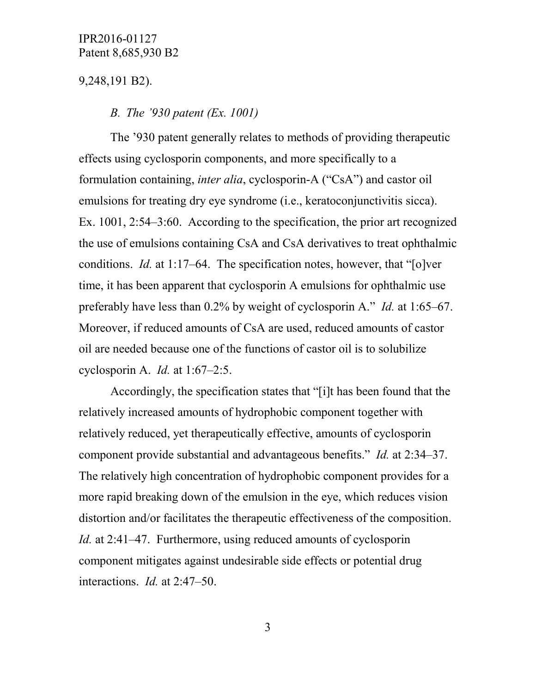9,248,191 B2).

#### *B. The '930 patent (Ex. 1001)*

The '930 patent generally relates to methods of providing therapeutic effects using cyclosporin components, and more specifically to a formulation containing, *inter alia*, cyclosporin-A ("CsA") and castor oil emulsions for treating dry eye syndrome (i.e., keratoconjunctivitis sicca). Ex. 1001, 2:54–3:60. According to the specification, the prior art recognized the use of emulsions containing CsA and CsA derivatives to treat ophthalmic conditions. *Id.* at 1:17–64. The specification notes, however, that "[o]ver time, it has been apparent that cyclosporin A emulsions for ophthalmic use preferably have less than 0.2% by weight of cyclosporin A." *Id.* at 1:65–67. Moreover, if reduced amounts of CsA are used, reduced amounts of castor oil are needed because one of the functions of castor oil is to solubilize cyclosporin A. *Id.* at 1:67–2:5.

Accordingly, the specification states that "[i]t has been found that the relatively increased amounts of hydrophobic component together with relatively reduced, yet therapeutically effective, amounts of cyclosporin component provide substantial and advantageous benefits." *Id.* at 2:34–37. The relatively high concentration of hydrophobic component provides for a more rapid breaking down of the emulsion in the eye, which reduces vision distortion and/or facilitates the therapeutic effectiveness of the composition. *Id.* at 2:41–47. Furthermore, using reduced amounts of cyclosporin component mitigates against undesirable side effects or potential drug interactions. *Id.* at 2:47–50.

3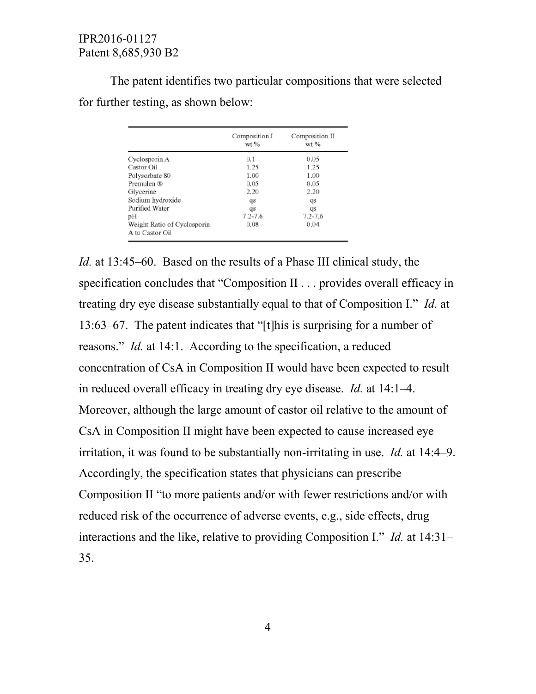The patent identifies two particular compositions that were selected for further testing, as shown below:

|                                                | Composition I<br>$wt$ % | Composition II<br>wt % |  |
|------------------------------------------------|-------------------------|------------------------|--|
| Cyclosporin A                                  | 0.1                     | 0.05                   |  |
| Castor Oil                                     | 1.25                    | 1.25                   |  |
| Polysorbate 80                                 | 1.00                    | 1.00                   |  |
| Premulen ®                                     | 0.05                    | 0.05                   |  |
| Glycerine                                      | 2.20                    | 2.20                   |  |
| Sodium hydroxide                               | qs                      | qs                     |  |
| Purified Water                                 | qs                      | qs                     |  |
| рH                                             | $7.2 - 7.6$             | $7.2 - 7.6$            |  |
| Weight Ratio of Cyclosporin<br>A to Castor Oil | 0.08                    | 0.04                   |  |

*Id.* at 13:45–60. Based on the results of a Phase III clinical study, the specification concludes that "Composition II . . . provides overall efficacy in treating dry eye disease substantially equal to that of Composition I." *Id.* at 13:63–67. The patent indicates that "[t]his is surprising for a number of reasons." *Id.* at 14:1. According to the specification, a reduced concentration of CsA in Composition II would have been expected to result in reduced overall efficacy in treating dry eye disease. *Id.* at 14:1–4. Moreover, although the large amount of castor oil relative to the amount of CsA in Composition II might have been expected to cause increased eye irritation, it was found to be substantially non-irritating in use. *Id.* at 14:4–9. Accordingly, the specification states that physicians can prescribe Composition II "to more patients and/or with fewer restrictions and/or with reduced risk of the occurrence of adverse events, e.g., side effects, drug interactions and the like, relative to providing Composition I." *Id.* at 14:31– 35.

4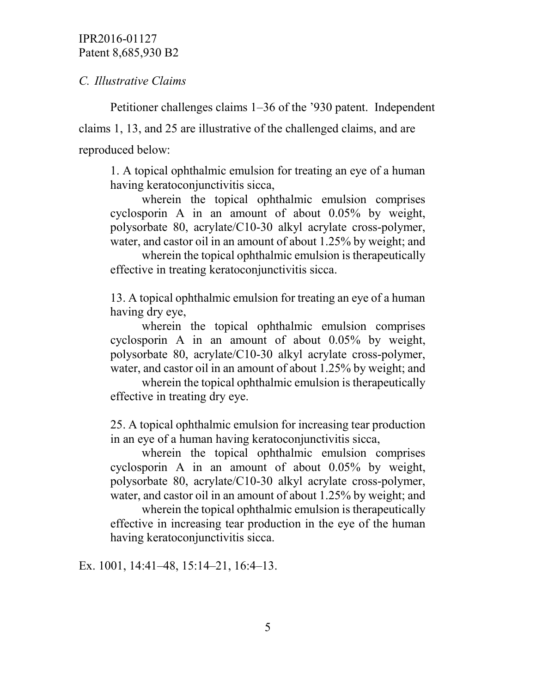*C. Illustrative Claims*

Petitioner challenges claims 1–36 of the '930 patent. Independent claims 1, 13, and 25 are illustrative of the challenged claims, and are reproduced below:

1. A topical ophthalmic emulsion for treating an eye of a human having keratoconjunctivitis sicca,

wherein the topical ophthalmic emulsion comprises cyclosporin A in an amount of about 0.05% by weight, polysorbate 80, acrylate/C10-30 alkyl acrylate cross-polymer, water, and castor oil in an amount of about 1.25% by weight; and

wherein the topical ophthalmic emulsion is therapeutically effective in treating keratoconjunctivitis sicca.

13. A topical ophthalmic emulsion for treating an eye of a human having dry eye,

wherein the topical ophthalmic emulsion comprises cyclosporin A in an amount of about 0.05% by weight, polysorbate 80, acrylate/C10-30 alkyl acrylate cross-polymer, water, and castor oil in an amount of about 1.25% by weight; and

wherein the topical ophthalmic emulsion is therapeutically effective in treating dry eye.

25. A topical ophthalmic emulsion for increasing tear production in an eye of a human having keratoconjunctivitis sicca,

wherein the topical ophthalmic emulsion comprises cyclosporin A in an amount of about 0.05% by weight, polysorbate 80, acrylate/C10-30 alkyl acrylate cross-polymer, water, and castor oil in an amount of about 1.25% by weight; and

wherein the topical ophthalmic emulsion is therapeutically effective in increasing tear production in the eye of the human having keratoconjunctivitis sicca.

Ex. 1001, 14:41–48, 15:14–21, 16:4–13.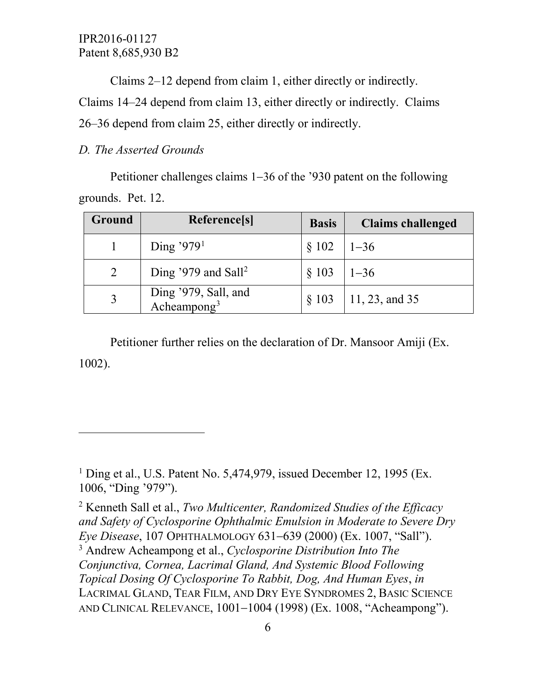Claims 2–12 depend from claim 1, either directly or indirectly.

Claims 14–24 depend from claim 13, either directly or indirectly. Claims 26–36 depend from claim 25, either directly or indirectly.

### *D. The Asserted Grounds*

 $\overline{a}$ 

Petitioner challenges claims 1−36 of the '930 patent on the following grounds. Pet. 12.

| Ground | Reference[s]                                    | <b>Basis</b>  | <b>Claims challenged</b> |
|--------|-------------------------------------------------|---------------|--------------------------|
|        | Ding '979 <sup>1</sup>                          | § 102         | $1 - 36$                 |
|        | Ding '979 and Sall <sup>2</sup>                 | $$103$   1-36 |                          |
|        | Ding '979, Sall, and<br>Acheampong <sup>3</sup> | $§$ 103       | 11, 23, and 35           |

Petitioner further relies on the declaration of Dr. Mansoor Amiji (Ex. 1002).

<span id="page-5-0"></span><sup>1</sup> Ding et al., U.S. Patent No. 5,474,979, issued December 12, 1995 (Ex. 1006, "Ding '979").

<span id="page-5-2"></span><span id="page-5-1"></span><sup>2</sup> Kenneth Sall et al., *Two Multicenter, Randomized Studies of the Efficacy and Safety of Cyclosporine Ophthalmic Emulsion in Moderate to Severe Dry Eye Disease*, 107 OPHTHALMOLOGY 631−639 (2000) (Ex. 1007, "Sall"). <sup>3</sup> Andrew Acheampong et al., *Cyclosporine Distribution Into The Conjunctiva, Cornea, Lacrimal Gland, And Systemic Blood Following Topical Dosing Of Cyclosporine To Rabbit, Dog, And Human Eyes*, *in* LACRIMAL GLAND, TEAR FILM, AND DRY EYE SYNDROMES 2, BASIC SCIENCE AND CLINICAL RELEVANCE, 1001−1004 (1998) (Ex. 1008, "Acheampong").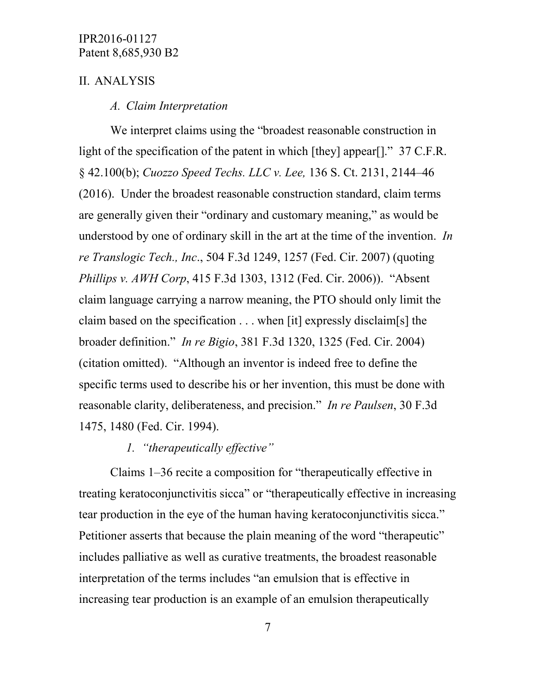### II. ANALYSIS

#### *A. Claim Interpretation*

We interpret claims using the "broadest reasonable construction in light of the specification of the patent in which [they] appear[]." 37 C.F.R. § 42.100(b); *Cuozzo Speed Techs. LLC v. Lee,* 136 S. Ct. 2131, 2144–46 (2016). Under the broadest reasonable construction standard, claim terms are generally given their "ordinary and customary meaning," as would be understood by one of ordinary skill in the art at the time of the invention. *In re Translogic Tech., Inc*., 504 F.3d 1249, 1257 (Fed. Cir. 2007) (quoting *Phillips v. AWH Corp*, 415 F.3d 1303, 1312 (Fed. Cir. 2006)). "Absent claim language carrying a narrow meaning, the PTO should only limit the claim based on the specification . . . when [it] expressly disclaim[s] the broader definition." *In re Bigio*, 381 F.3d 1320, 1325 (Fed. Cir. 2004) (citation omitted). "Although an inventor is indeed free to define the specific terms used to describe his or her invention, this must be done with reasonable clarity, deliberateness, and precision." *In re Paulsen*, 30 F.3d 1475, 1480 (Fed. Cir. 1994).

# *1. "therapeutically effective"*

Claims 1–36 recite a composition for "therapeutically effective in treating keratoconjunctivitis sicca" or "therapeutically effective in increasing tear production in the eye of the human having keratoconjunctivitis sicca." Petitioner asserts that because the plain meaning of the word "therapeutic" includes palliative as well as curative treatments, the broadest reasonable interpretation of the terms includes "an emulsion that is effective in increasing tear production is an example of an emulsion therapeutically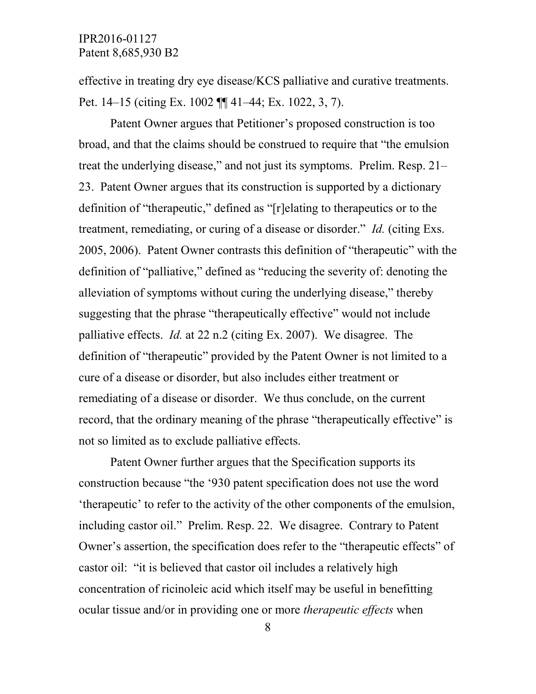effective in treating dry eye disease/KCS palliative and curative treatments. Pet. 14–15 (citing Ex. 1002 ¶¶ 41–44; Ex. 1022, 3, 7).

Patent Owner argues that Petitioner's proposed construction is too broad, and that the claims should be construed to require that "the emulsion treat the underlying disease," and not just its symptoms. Prelim. Resp. 21– 23. Patent Owner argues that its construction is supported by a dictionary definition of "therapeutic," defined as "[r]elating to therapeutics or to the treatment, remediating, or curing of a disease or disorder." *Id.* (citing Exs. 2005, 2006). Patent Owner contrasts this definition of "therapeutic" with the definition of "palliative," defined as "reducing the severity of: denoting the alleviation of symptoms without curing the underlying disease," thereby suggesting that the phrase "therapeutically effective" would not include palliative effects. *Id.* at 22 n.2 (citing Ex. 2007). We disagree. The definition of "therapeutic" provided by the Patent Owner is not limited to a cure of a disease or disorder, but also includes either treatment or remediating of a disease or disorder. We thus conclude, on the current record, that the ordinary meaning of the phrase "therapeutically effective" is not so limited as to exclude palliative effects.

Patent Owner further argues that the Specification supports its construction because "the '930 patent specification does not use the word 'therapeutic' to refer to the activity of the other components of the emulsion, including castor oil." Prelim. Resp. 22. We disagree. Contrary to Patent Owner's assertion, the specification does refer to the "therapeutic effects" of castor oil: "it is believed that castor oil includes a relatively high concentration of ricinoleic acid which itself may be useful in benefitting ocular tissue and/or in providing one or more *therapeutic effects* when

8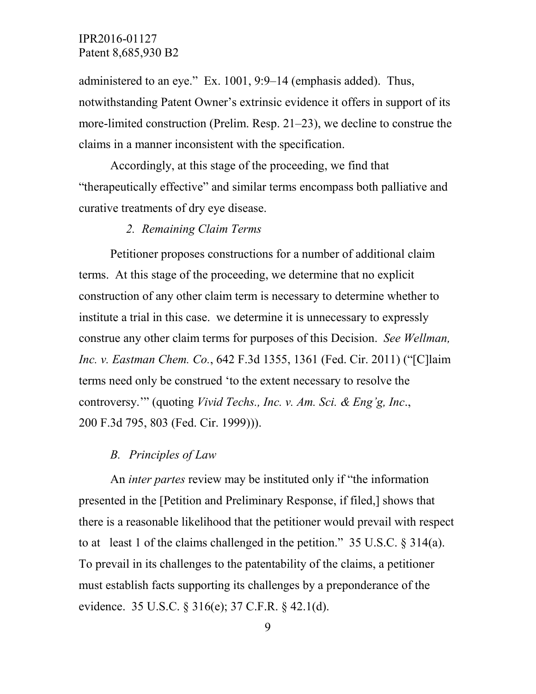administered to an eye." Ex. 1001, 9:9–14 (emphasis added). Thus, notwithstanding Patent Owner's extrinsic evidence it offers in support of its more-limited construction (Prelim. Resp. 21–23), we decline to construe the claims in a manner inconsistent with the specification.

Accordingly, at this stage of the proceeding, we find that "therapeutically effective" and similar terms encompass both palliative and curative treatments of dry eye disease.

#### *2. Remaining Claim Terms*

Petitioner proposes constructions for a number of additional claim terms. At this stage of the proceeding, we determine that no explicit construction of any other claim term is necessary to determine whether to institute a trial in this case. we determine it is unnecessary to expressly construe any other claim terms for purposes of this Decision. *See Wellman, Inc. v. Eastman Chem. Co.*, 642 F.3d 1355, 1361 (Fed. Cir. 2011) ("[C]laim terms need only be construed 'to the extent necessary to resolve the controversy.'" (quoting *Vivid Techs., Inc. v. Am. Sci. & Eng'g, Inc*., 200 F.3d 795, 803 (Fed. Cir. 1999))).

#### *B. Principles of Law*

An *inter partes* review may be instituted only if "the information presented in the [Petition and Preliminary Response, if filed,] shows that there is a reasonable likelihood that the petitioner would prevail with respect to at least 1 of the claims challenged in the petition."  $35 \text{ U.S.C.}$   $\S 314(a)$ . To prevail in its challenges to the patentability of the claims, a petitioner must establish facts supporting its challenges by a preponderance of the evidence. 35 U.S.C. § 316(e); 37 C.F.R. § 42.1(d).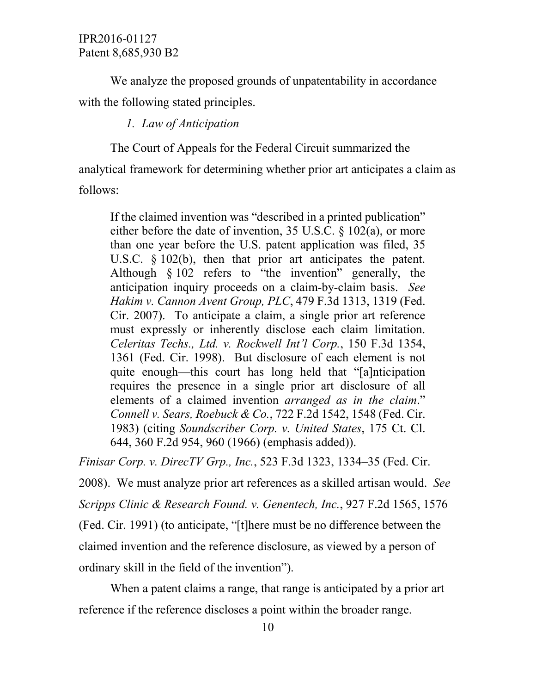We analyze the proposed grounds of unpatentability in accordance with the following stated principles.

# *1. Law of Anticipation*

The Court of Appeals for the Federal Circuit summarized the analytical framework for determining whether prior art anticipates a claim as follows:

If the claimed invention was "described in a printed publication" either before the date of invention, 35 U.S.C. § 102(a), or more than one year before the U.S. patent application was filed, 35 U.S.C. § 102(b), then that prior art anticipates the patent. Although § 102 refers to "the invention" generally, the anticipation inquiry proceeds on a claim-by-claim basis. *See Hakim v. Cannon Avent Group, PLC*, 479 F.3d 1313, 1319 (Fed. Cir. 2007). To anticipate a claim, a single prior art reference must expressly or inherently disclose each claim limitation. *Celeritas Techs., Ltd. v. Rockwell Int'l Corp.*, 150 F.3d 1354, 1361 (Fed. Cir. 1998). But disclosure of each element is not quite enough—this court has long held that "[a]nticipation requires the presence in a single prior art disclosure of all elements of a claimed invention *arranged as in the claim*." *Connell v. Sears, Roebuck & Co.*, 722 F.2d 1542, 1548 (Fed. Cir. 1983) (citing *Soundscriber Corp. v. United States*, 175 Ct. Cl. 644, 360 F.2d 954, 960 (1966) (emphasis added)).

*Finisar Corp. v. DirecTV Grp., Inc.*, 523 F.3d 1323, 1334–35 (Fed. Cir.

2008). We must analyze prior art references as a skilled artisan would. *See Scripps Clinic & Research Found. v. Genentech, Inc.*, 927 F.2d 1565, 1576 (Fed. Cir. 1991) (to anticipate, "[t]here must be no difference between the claimed invention and the reference disclosure, as viewed by a person of ordinary skill in the field of the invention").

When a patent claims a range, that range is anticipated by a prior art reference if the reference discloses a point within the broader range.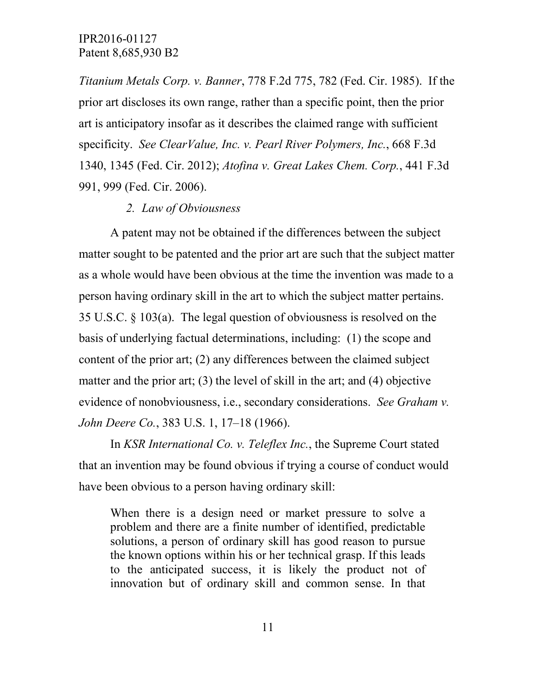*Titanium Metals Corp. v. Banner*, 778 F.2d 775, 782 (Fed. Cir. 1985). If the prior art discloses its own range, rather than a specific point, then the prior art is anticipatory insofar as it describes the claimed range with sufficient specificity. *See ClearValue, Inc. v. Pearl River Polymers, Inc.*, 668 F.3d 1340, 1345 (Fed. Cir. 2012); *Atofina v. Great Lakes Chem. Corp.*, 441 F.3d 991, 999 (Fed. Cir. 2006).

### *2. Law of Obviousness*

A patent may not be obtained if the differences between the subject matter sought to be patented and the prior art are such that the subject matter as a whole would have been obvious at the time the invention was made to a person having ordinary skill in the art to which the subject matter pertains. 35 U.S.C. § 103(a). The legal question of obviousness is resolved on the basis of underlying factual determinations, including: (1) the scope and content of the prior art; (2) any differences between the claimed subject matter and the prior art; (3) the level of skill in the art; and (4) objective evidence of nonobviousness, i.e., secondary considerations. *See Graham v. John Deere Co.*, 383 U.S. 1, 17–18 (1966).

In *KSR International Co. v. Teleflex Inc.*, the Supreme Court stated that an invention may be found obvious if trying a course of conduct would have been obvious to a person having ordinary skill:

When there is a design need or market pressure to solve a problem and there are a finite number of identified, predictable solutions, a person of ordinary skill has good reason to pursue the known options within his or her technical grasp. If this leads to the anticipated success, it is likely the product not of innovation but of ordinary skill and common sense. In that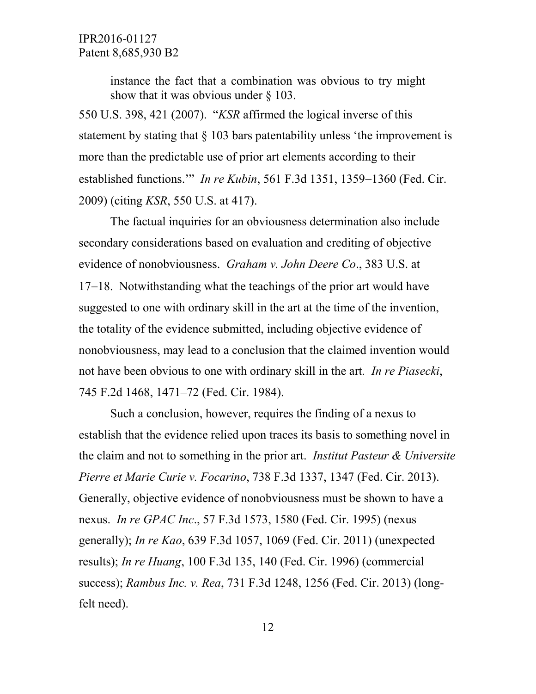instance the fact that a combination was obvious to try might show that it was obvious under § 103.

550 U.S. 398, 421 (2007). "*KSR* affirmed the logical inverse of this statement by stating that § 103 bars patentability unless 'the improvement is more than the predictable use of prior art elements according to their established functions.'" *In re Kubin*, 561 F.3d 1351, 1359−1360 (Fed. Cir. 2009) (citing *KSR*, 550 U.S. at 417).

The factual inquiries for an obviousness determination also include secondary considerations based on evaluation and crediting of objective evidence of nonobviousness. *Graham v. John Deere Co*., 383 U.S. at 17−18. Notwithstanding what the teachings of the prior art would have suggested to one with ordinary skill in the art at the time of the invention, the totality of the evidence submitted, including objective evidence of nonobviousness, may lead to a conclusion that the claimed invention would not have been obvious to one with ordinary skill in the art*. In re Piasecki*, 745 F.2d 1468, 1471–72 (Fed. Cir. 1984).

Such a conclusion, however, requires the finding of a nexus to establish that the evidence relied upon traces its basis to something novel in the claim and not to something in the prior art. *Institut Pasteur & Universite Pierre et Marie Curie v. Focarino*, 738 F.3d 1337, 1347 (Fed. Cir. 2013). Generally, objective evidence of nonobviousness must be shown to have a nexus. *In re GPAC Inc*., 57 F.3d 1573, 1580 (Fed. Cir. 1995) (nexus generally); *In re Kao*, 639 F.3d 1057, 1069 (Fed. Cir. 2011) (unexpected results); *In re Huang*, 100 F.3d 135, 140 (Fed. Cir. 1996) (commercial success); *Rambus Inc. v. Rea*, 731 F.3d 1248, 1256 (Fed. Cir. 2013) (longfelt need).

12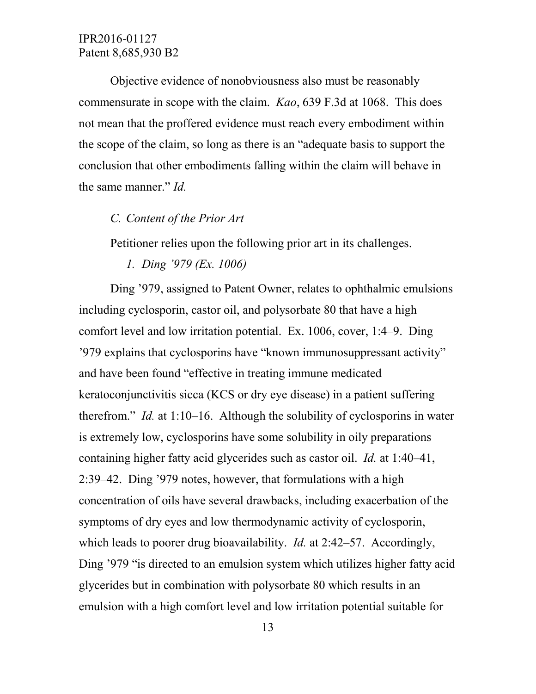Objective evidence of nonobviousness also must be reasonably commensurate in scope with the claim. *Kao*, 639 F.3d at 1068. This does not mean that the proffered evidence must reach every embodiment within the scope of the claim, so long as there is an "adequate basis to support the conclusion that other embodiments falling within the claim will behave in the same manner." *Id.*

### *C. Content of the Prior Art*

Petitioner relies upon the following prior art in its challenges.

*1. Ding '979 (Ex. 1006)* 

Ding '979, assigned to Patent Owner, relates to ophthalmic emulsions including cyclosporin, castor oil, and polysorbate 80 that have a high comfort level and low irritation potential. Ex. 1006, cover, 1:4–9. Ding '979 explains that cyclosporins have "known immunosuppressant activity" and have been found "effective in treating immune medicated keratoconjunctivitis sicca (KCS or dry eye disease) in a patient suffering therefrom." *Id.* at 1:10–16. Although the solubility of cyclosporins in water is extremely low, cyclosporins have some solubility in oily preparations containing higher fatty acid glycerides such as castor oil. *Id.* at 1:40–41, 2:39–42. Ding '979 notes, however, that formulations with a high concentration of oils have several drawbacks, including exacerbation of the symptoms of dry eyes and low thermodynamic activity of cyclosporin, which leads to poorer drug bioavailability. *Id.* at 2:42–57. Accordingly, Ding '979 "is directed to an emulsion system which utilizes higher fatty acid glycerides but in combination with polysorbate 80 which results in an emulsion with a high comfort level and low irritation potential suitable for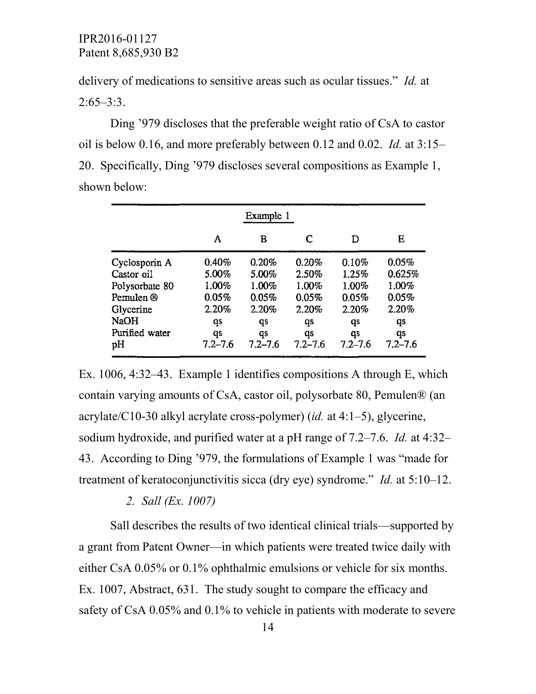delivery of medications to sensitive areas such as ocular tissues." *Id.* at  $2:65-3:3$ .

Ding '979 discloses that the preferable weight ratio of CsA to castor oil is below 0.16, and more preferably between 0.12 and 0.02. *Id.* at 3:15– 20. Specifically, Ding '979 discloses several compositions as Example 1, shown below:

|                | Example 1   |             |             |             |             |  |  |
|----------------|-------------|-------------|-------------|-------------|-------------|--|--|
|                | A           | в           | C           | D           | Е           |  |  |
| Cyclosporin A  | 0.40%       | 0.20%       | 0.20%       | 0.10%       | 0.05%       |  |  |
| Castor oil     | 5.00%       | 5.00%       | 2.50%       | 1.25%       | 0.625%      |  |  |
| Polysorbate 80 | 1.00%       | 1.00%       | 1.00%       | 1.00%       | 1.00%       |  |  |
| Pemulen ®      | 0.05%       | 0.05%       | 0.05%       | 0.05%       | 0.05%       |  |  |
| Glycerine      | 2.20%       | 2.20%       | 2.20%       | 2.20%       | 2.20%       |  |  |
| NaOH           | qs          | qs          | qs          | qs          | qs          |  |  |
| Purified water | qs          | qs          | qs          | qs          | qs          |  |  |
| pН             | $7.2 - 7.6$ | $7.2 - 7.6$ | $7.2 - 7.6$ | $7.2 - 7.6$ | $7.2 - 7.6$ |  |  |

Ex. 1006, 4:32–43. Example 1 identifies compositions A through E, which contain varying amounts of CsA, castor oil, polysorbate 80, Pemulen® (an acrylate/C10-30 alkyl acrylate cross-polymer) (*id.* at 4:1–5), glycerine, sodium hydroxide, and purified water at a pH range of 7.2–7.6. *Id.* at 4:32– 43. According to Ding '979, the formulations of Example 1 was "made for treatment of keratoconjunctivitis sicca (dry eye) syndrome." *Id.* at 5:10–12.

*2. Sall (Ex. 1007)*

Sall describes the results of two identical clinical trials—supported by a grant from Patent Owner—in which patients were treated twice daily with either CsA 0.05% or 0.1% ophthalmic emulsions or vehicle for six months. Ex. 1007, Abstract, 631. The study sought to compare the efficacy and safety of CsA 0.05% and 0.1% to vehicle in patients with moderate to severe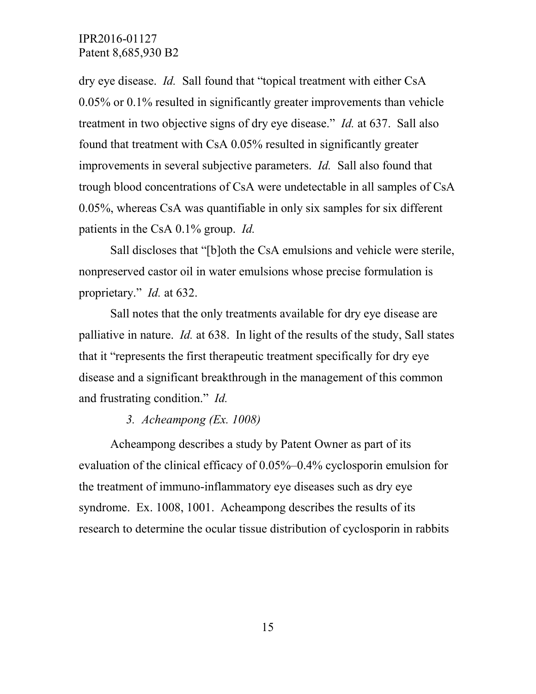dry eye disease. *Id.* Sall found that "topical treatment with either CsA 0.05% or 0.1% resulted in significantly greater improvements than vehicle treatment in two objective signs of dry eye disease." *Id.* at 637. Sall also found that treatment with CsA 0.05% resulted in significantly greater improvements in several subjective parameters. *Id.* Sall also found that trough blood concentrations of CsA were undetectable in all samples of CsA 0.05%, whereas CsA was quantifiable in only six samples for six different patients in the CsA 0.1% group. *Id.*

Sall discloses that "[b]oth the CsA emulsions and vehicle were sterile, nonpreserved castor oil in water emulsions whose precise formulation is proprietary." *Id.* at 632.

Sall notes that the only treatments available for dry eye disease are palliative in nature. *Id.* at 638. In light of the results of the study, Sall states that it "represents the first therapeutic treatment specifically for dry eye disease and a significant breakthrough in the management of this common and frustrating condition." *Id.*

### *3. Acheampong (Ex. 1008)*

Acheampong describes a study by Patent Owner as part of its evaluation of the clinical efficacy of 0.05%–0.4% cyclosporin emulsion for the treatment of immuno-inflammatory eye diseases such as dry eye syndrome. Ex. 1008, 1001. Acheampong describes the results of its research to determine the ocular tissue distribution of cyclosporin in rabbits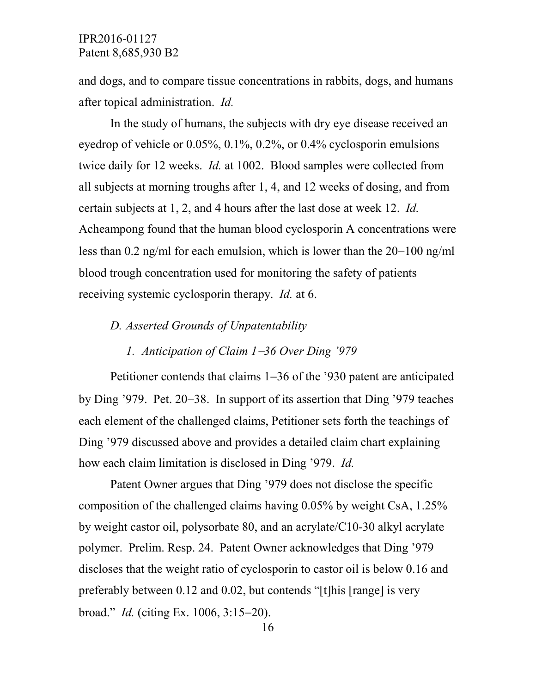and dogs, and to compare tissue concentrations in rabbits, dogs, and humans after topical administration. *Id.*

In the study of humans, the subjects with dry eye disease received an eyedrop of vehicle or 0.05%, 0.1%, 0.2%, or 0.4% cyclosporin emulsions twice daily for 12 weeks. *Id.* at 1002. Blood samples were collected from all subjects at morning troughs after 1, 4, and 12 weeks of dosing, and from certain subjects at 1, 2, and 4 hours after the last dose at week 12. *Id.* Acheampong found that the human blood cyclosporin A concentrations were less than 0.2 ng/ml for each emulsion, which is lower than the 20−100 ng/ml blood trough concentration used for monitoring the safety of patients receiving systemic cyclosporin therapy. *Id.* at 6.

#### *D. Asserted Grounds of Unpatentability*

### *1. Anticipation of Claim 1*−*36 Over Ding '979*

Petitioner contends that claims 1−36 of the '930 patent are anticipated by Ding '979. Pet. 20−38. In support of its assertion that Ding '979 teaches each element of the challenged claims, Petitioner sets forth the teachings of Ding '979 discussed above and provides a detailed claim chart explaining how each claim limitation is disclosed in Ding '979. *Id.*

Patent Owner argues that Ding '979 does not disclose the specific composition of the challenged claims having 0.05% by weight CsA, 1.25% by weight castor oil, polysorbate 80, and an acrylate/C10-30 alkyl acrylate polymer. Prelim. Resp. 24. Patent Owner acknowledges that Ding '979 discloses that the weight ratio of cyclosporin to castor oil is below 0.16 and preferably between 0.12 and 0.02, but contends "[t]his [range] is very broad." *Id.* (citing Ex. 1006, 3:15−20).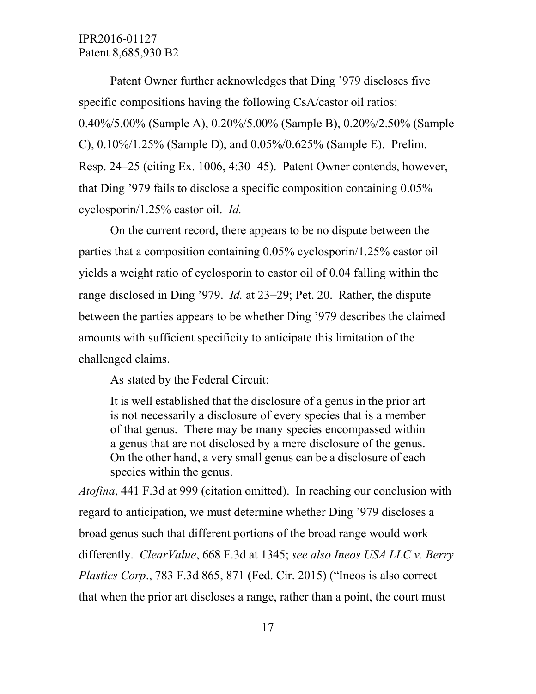Patent Owner further acknowledges that Ding '979 discloses five specific compositions having the following CsA/castor oil ratios: 0.40%/5.00% (Sample A), 0.20%/5.00% (Sample B), 0.20%/2.50% (Sample C), 0.10%/1.25% (Sample D), and 0.05%/0.625% (Sample E). Prelim. Resp. 24–25 (citing Ex. 1006, 4:30−45). Patent Owner contends, however, that Ding '979 fails to disclose a specific composition containing 0.05% cyclosporin/1.25% castor oil. *Id.*

On the current record, there appears to be no dispute between the parties that a composition containing 0.05% cyclosporin/1.25% castor oil yields a weight ratio of cyclosporin to castor oil of 0.04 falling within the range disclosed in Ding '979. *Id.* at 23−29; Pet. 20. Rather, the dispute between the parties appears to be whether Ding '979 describes the claimed amounts with sufficient specificity to anticipate this limitation of the challenged claims.

As stated by the Federal Circuit:

It is well established that the disclosure of a genus in the prior art is not necessarily a disclosure of every species that is a member of that genus. There may be many species encompassed within a genus that are not disclosed by a mere disclosure of the genus. On the other hand, a very small genus can be a disclosure of each species within the genus.

*Atofina*, 441 F.3d at 999 (citation omitted). In reaching our conclusion with regard to anticipation, we must determine whether Ding '979 discloses a broad genus such that different portions of the broad range would work differently. *ClearValue*, 668 F.3d at 1345; *see also Ineos USA LLC v. Berry Plastics Corp*., 783 F.3d 865, 871 (Fed. Cir. 2015) ("Ineos is also correct that when the prior art discloses a range, rather than a point, the court must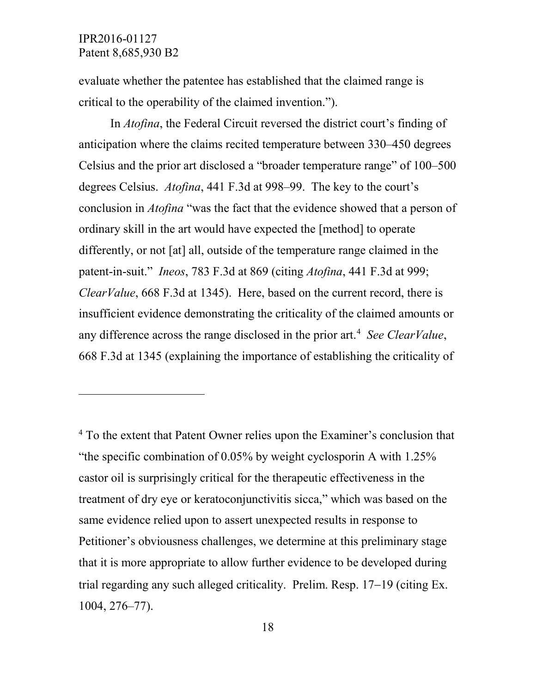$\overline{a}$ 

evaluate whether the patentee has established that the claimed range is critical to the operability of the claimed invention.").

In *Atofina*, the Federal Circuit reversed the district court's finding of anticipation where the claims recited temperature between 330–450 degrees Celsius and the prior art disclosed a "broader temperature range" of 100–500 degrees Celsius. *Atofina*, 441 F.3d at 998–99. The key to the court's conclusion in *Atofina* "was the fact that the evidence showed that a person of ordinary skill in the art would have expected the [method] to operate differently, or not [at] all, outside of the temperature range claimed in the patent-in-suit." *Ineos*, 783 F.3d at 869 (citing *Atofina*, 441 F.3d at 999; *ClearValue*, 668 F.3d at 1345). Here, based on the current record, there is insufficient evidence demonstrating the criticality of the claimed amounts or any difference across the range disclosed in the prior art. [4](#page-17-0) *See ClearValue*, 668 F.3d at 1345 (explaining the importance of establishing the criticality of

<span id="page-17-0"></span><sup>4</sup> To the extent that Patent Owner relies upon the Examiner's conclusion that "the specific combination of 0.05% by weight cyclosporin A with 1.25% castor oil is surprisingly critical for the therapeutic effectiveness in the treatment of dry eye or keratoconjunctivitis sicca," which was based on the same evidence relied upon to assert unexpected results in response to Petitioner's obviousness challenges, we determine at this preliminary stage that it is more appropriate to allow further evidence to be developed during trial regarding any such alleged criticality. Prelim. Resp. 17−19 (citing Ex. 1004, 276–77).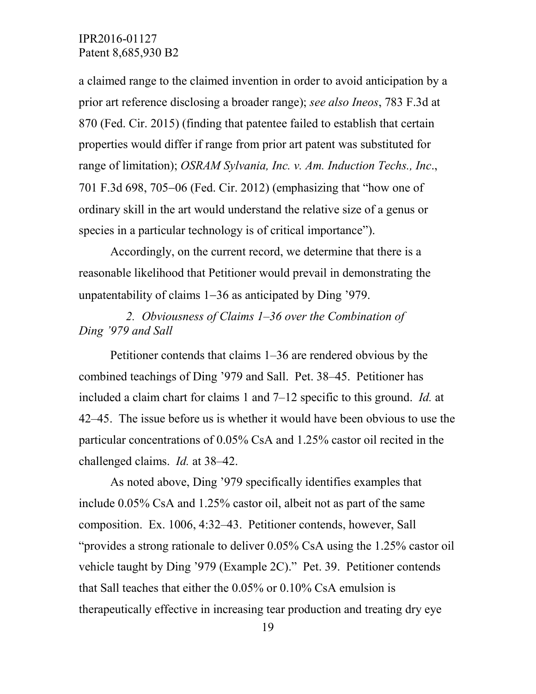a claimed range to the claimed invention in order to avoid anticipation by a prior art reference disclosing a broader range); *see also Ineos*, 783 F.3d at 870 (Fed. Cir. 2015) (finding that patentee failed to establish that certain properties would differ if range from prior art patent was substituted for range of limitation); *OSRAM Sylvania, Inc. v. Am. Induction Techs., Inc*., 701 F.3d 698, 705−06 (Fed. Cir. 2012) (emphasizing that "how one of ordinary skill in the art would understand the relative size of a genus or species in a particular technology is of critical importance").

Accordingly, on the current record, we determine that there is a reasonable likelihood that Petitioner would prevail in demonstrating the unpatentability of claims 1−36 as anticipated by Ding '979.

*2. Obviousness of Claims 1–36 over the Combination of Ding '979 and Sall*

Petitioner contends that claims 1–36 are rendered obvious by the combined teachings of Ding '979 and Sall. Pet. 38–45. Petitioner has included a claim chart for claims 1 and 7–12 specific to this ground. *Id.* at 42–45. The issue before us is whether it would have been obvious to use the particular concentrations of 0.05% CsA and 1.25% castor oil recited in the challenged claims. *Id.* at 38–42.

As noted above, Ding '979 specifically identifies examples that include 0.05% CsA and 1.25% castor oil, albeit not as part of the same composition. Ex. 1006, 4:32–43. Petitioner contends, however, Sall "provides a strong rationale to deliver 0.05% CsA using the 1.25% castor oil vehicle taught by Ding '979 (Example 2C)." Pet. 39. Petitioner contends that Sall teaches that either the 0.05% or 0.10% CsA emulsion is therapeutically effective in increasing tear production and treating dry eye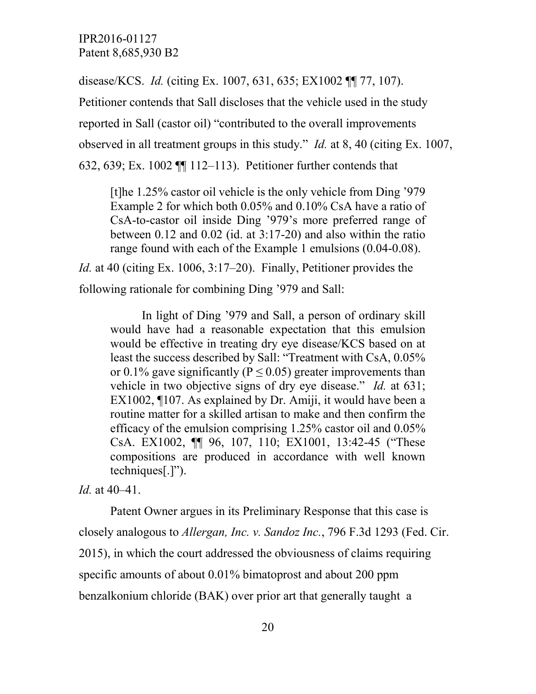disease/KCS. *Id.* (citing Ex. 1007, 631, 635; EX1002 ¶¶ 77, 107).

Petitioner contends that Sall discloses that the vehicle used in the study reported in Sall (castor oil) "contributed to the overall improvements observed in all treatment groups in this study." *Id.* at 8, 40 (citing Ex. 1007, 632, 639; Ex. 1002 ¶¶ 112–113). Petitioner further contends that

[t]he 1.25% castor oil vehicle is the only vehicle from Ding '979 Example 2 for which both 0.05% and 0.10% CsA have a ratio of CsA-to-castor oil inside Ding '979's more preferred range of between 0.12 and 0.02 (id. at 3:17-20) and also within the ratio range found with each of the Example 1 emulsions (0.04-0.08).

*Id.* at 40 (citing Ex. 1006, 3:17–20). Finally, Petitioner provides the following rationale for combining Ding '979 and Sall:

In light of Ding '979 and Sall, a person of ordinary skill would have had a reasonable expectation that this emulsion would be effective in treating dry eye disease/KCS based on at least the success described by Sall: "Treatment with CsA, 0.05% or 0.1% gave significantly ( $P \le 0.05$ ) greater improvements than vehicle in two objective signs of dry eye disease." *Id.* at 631; EX1002, ¶107. As explained by Dr. Amiji, it would have been a routine matter for a skilled artisan to make and then confirm the efficacy of the emulsion comprising 1.25% castor oil and 0.05% CsA. EX1002, ¶¶ 96, 107, 110; EX1001, 13:42-45 ("These compositions are produced in accordance with well known techniques[.]").

*Id.* at 40–41.

Patent Owner argues in its Preliminary Response that this case is closely analogous to *Allergan, Inc. v. Sandoz Inc.*, 796 F.3d 1293 (Fed. Cir. 2015), in which the court addressed the obviousness of claims requiring specific amounts of about 0.01% bimatoprost and about 200 ppm benzalkonium chloride (BAK) over prior art that generally taught a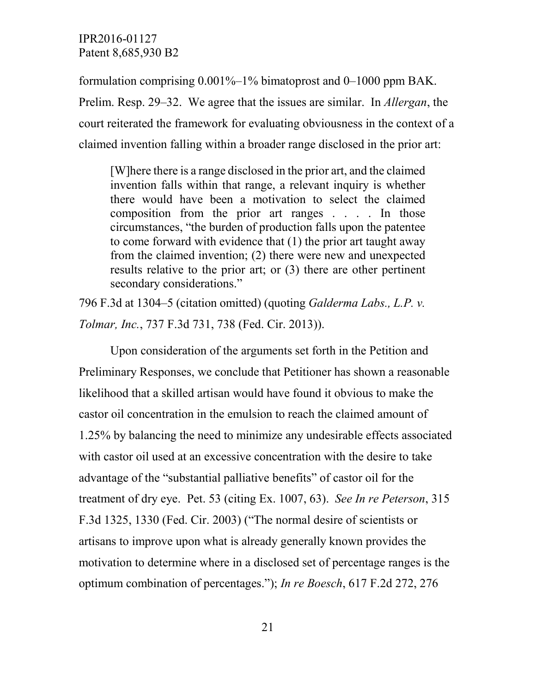formulation comprising 0.001%–1% bimatoprost and 0–1000 ppm BAK. Prelim. Resp. 29–32. We agree that the issues are similar. In *Allergan*, the court reiterated the framework for evaluating obviousness in the context of a claimed invention falling within a broader range disclosed in the prior art:

[W]here there is a range disclosed in the prior art, and the claimed invention falls within that range, a relevant inquiry is whether there would have been a motivation to select the claimed composition from the prior art ranges . . . . In those circumstances, "the burden of production falls upon the patentee to come forward with evidence that (1) the prior art taught away from the claimed invention; (2) there were new and unexpected results relative to the prior art; or (3) there are other pertinent secondary considerations."

796 F.3d at 1304–5 (citation omitted) (quoting *Galderma Labs., L.P. v. Tolmar, Inc.*, 737 F.3d 731, 738 (Fed. Cir. 2013)).

Upon consideration of the arguments set forth in the Petition and Preliminary Responses, we conclude that Petitioner has shown a reasonable likelihood that a skilled artisan would have found it obvious to make the castor oil concentration in the emulsion to reach the claimed amount of 1.25% by balancing the need to minimize any undesirable effects associated with castor oil used at an excessive concentration with the desire to take advantage of the "substantial palliative benefits" of castor oil for the treatment of dry eye. Pet. 53 (citing Ex. 1007, 63). *See In re Peterson*, 315 F.3d 1325, 1330 (Fed. Cir. 2003) ("The normal desire of scientists or artisans to improve upon what is already generally known provides the motivation to determine where in a disclosed set of percentage ranges is the optimum combination of percentages."); *In re Boesch*, 617 F.2d 272, 276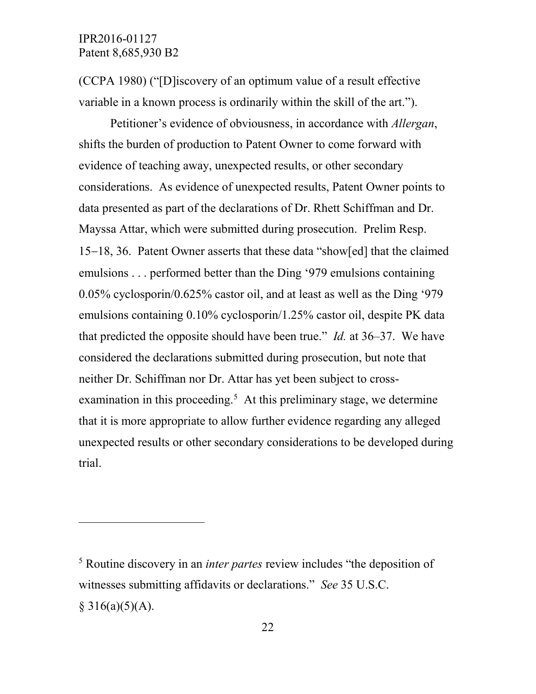l

(CCPA 1980) ("[D]iscovery of an optimum value of a result effective variable in a known process is ordinarily within the skill of the art.").

Petitioner's evidence of obviousness, in accordance with *Allergan*, shifts the burden of production to Patent Owner to come forward with evidence of teaching away, unexpected results, or other secondary considerations. As evidence of unexpected results, Patent Owner points to data presented as part of the declarations of Dr. Rhett Schiffman and Dr. Mayssa Attar, which were submitted during prosecution. Prelim Resp. 15−18, 36. Patent Owner asserts that these data "show[ed] that the claimed emulsions . . . performed better than the Ding '979 emulsions containing 0.05% cyclosporin/0.625% castor oil, and at least as well as the Ding '979 emulsions containing 0.10% cyclosporin/1.25% castor oil, despite PK data that predicted the opposite should have been true." *Id.* at 36–37. We have considered the declarations submitted during prosecution, but note that neither Dr. Schiffman nor Dr. Attar has yet been subject to cross-examination in this proceeding.<sup>[5](#page-21-0)</sup> At this preliminary stage, we determine that it is more appropriate to allow further evidence regarding any alleged unexpected results or other secondary considerations to be developed during trial.

<span id="page-21-0"></span><sup>5</sup> Routine discovery in an *inter partes* review includes "the deposition of witnesses submitting affidavits or declarations." *See* 35 U.S.C.  $§ 316(a)(5)(A).$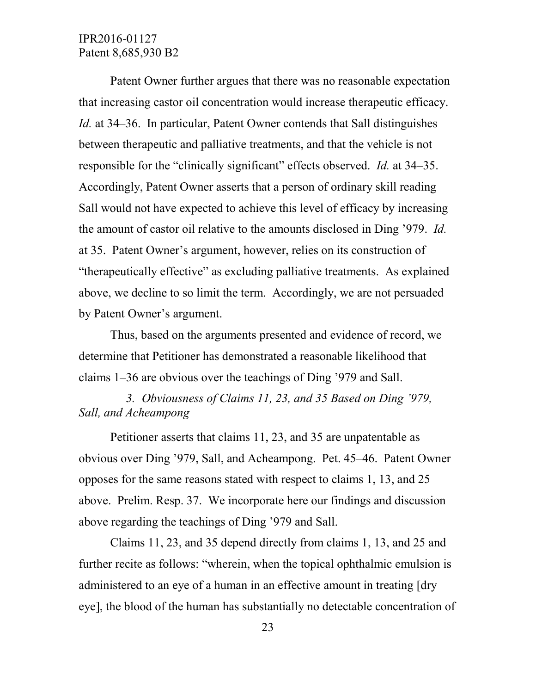Patent Owner further argues that there was no reasonable expectation that increasing castor oil concentration would increase therapeutic efficacy. *Id.* at 34–36. In particular, Patent Owner contends that Sall distinguishes between therapeutic and palliative treatments, and that the vehicle is not responsible for the "clinically significant" effects observed. *Id.* at 34–35. Accordingly, Patent Owner asserts that a person of ordinary skill reading Sall would not have expected to achieve this level of efficacy by increasing the amount of castor oil relative to the amounts disclosed in Ding '979. *Id.* at 35. Patent Owner's argument, however, relies on its construction of "therapeutically effective" as excluding palliative treatments. As explained above, we decline to so limit the term. Accordingly, we are not persuaded by Patent Owner's argument.

Thus, based on the arguments presented and evidence of record, we determine that Petitioner has demonstrated a reasonable likelihood that claims 1–36 are obvious over the teachings of Ding '979 and Sall.

*3. Obviousness of Claims 11, 23, and 35 Based on Ding '979, Sall, and Acheampong*

Petitioner asserts that claims 11, 23, and 35 are unpatentable as obvious over Ding '979, Sall, and Acheampong. Pet. 45–46. Patent Owner opposes for the same reasons stated with respect to claims 1, 13, and 25 above. Prelim. Resp. 37. We incorporate here our findings and discussion above regarding the teachings of Ding '979 and Sall.

Claims 11, 23, and 35 depend directly from claims 1, 13, and 25 and further recite as follows: "wherein, when the topical ophthalmic emulsion is administered to an eye of a human in an effective amount in treating [dry eye], the blood of the human has substantially no detectable concentration of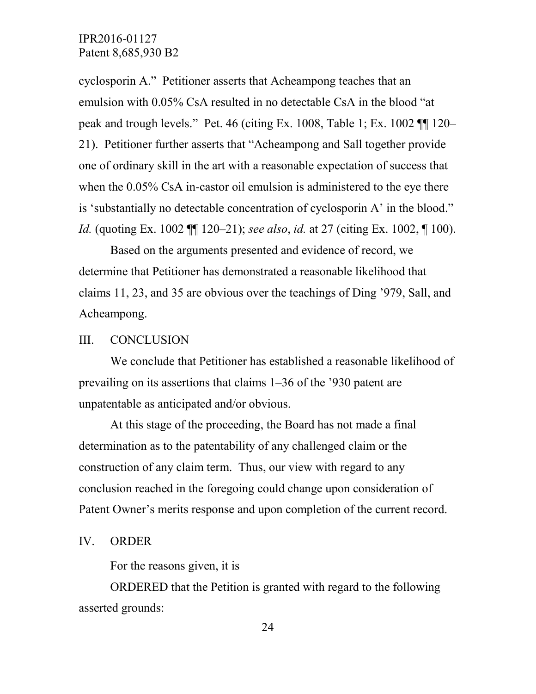cyclosporin A." Petitioner asserts that Acheampong teaches that an emulsion with 0.05% CsA resulted in no detectable CsA in the blood "at peak and trough levels." Pet. 46 (citing Ex. 1008, Table 1; Ex. 1002 ¶¶ 120– 21). Petitioner further asserts that "Acheampong and Sall together provide one of ordinary skill in the art with a reasonable expectation of success that when the  $0.05\%$  CsA in-castor oil emulsion is administered to the eye there is 'substantially no detectable concentration of cyclosporin A' in the blood." *Id.* (quoting Ex. 1002 ¶¶ 120–21); *see also*, *id.* at 27 (citing Ex. 1002, ¶ 100).

Based on the arguments presented and evidence of record, we determine that Petitioner has demonstrated a reasonable likelihood that claims 11, 23, and 35 are obvious over the teachings of Ding '979, Sall, and Acheampong.

#### III. CONCLUSION

We conclude that Petitioner has established a reasonable likelihood of prevailing on its assertions that claims 1–36 of the '930 patent are unpatentable as anticipated and/or obvious.

At this stage of the proceeding, the Board has not made a final determination as to the patentability of any challenged claim or the construction of any claim term. Thus, our view with regard to any conclusion reached in the foregoing could change upon consideration of Patent Owner's merits response and upon completion of the current record.

#### IV. ORDER

For the reasons given, it is

ORDERED that the Petition is granted with regard to the following asserted grounds: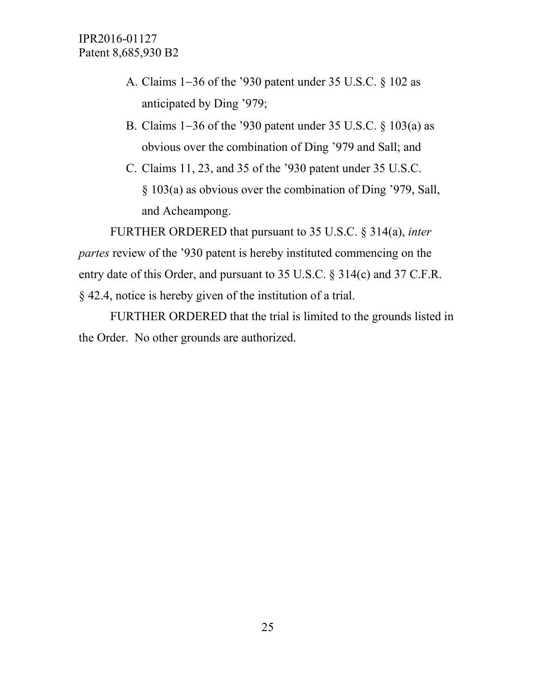- A. Claims 1−36 of the '930 patent under 35 U.S.C. § 102 as anticipated by Ding '979;
- B. Claims 1−36 of the '930 patent under 35 U.S.C. § 103(a) as obvious over the combination of Ding '979 and Sall; and
- C. Claims 11, 23, and 35 of the '930 patent under 35 U.S.C. § 103(a) as obvious over the combination of Ding '979, Sall, and Acheampong.

FURTHER ORDERED that pursuant to 35 U.S.C. § 314(a), *inter partes* review of the '930 patent is hereby instituted commencing on the entry date of this Order, and pursuant to 35 U.S.C. § 314(c) and 37 C.F.R. § 42.4, notice is hereby given of the institution of a trial.

FURTHER ORDERED that the trial is limited to the grounds listed in the Order. No other grounds are authorized.